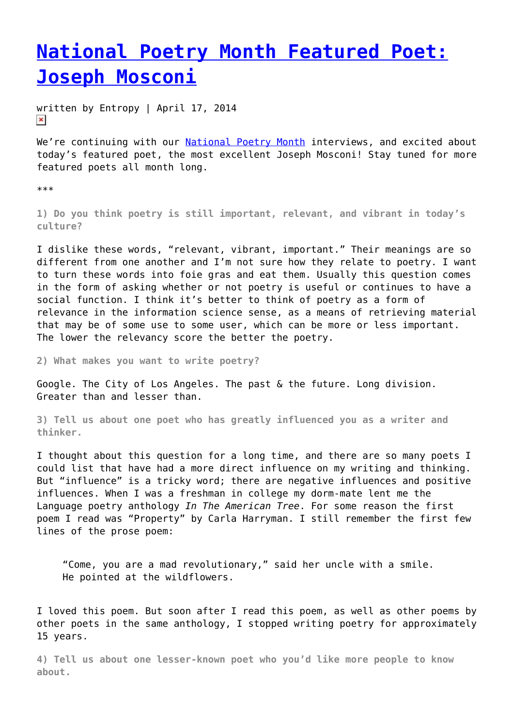## **[National Poetry Month Featured Poet:](https://entropymag.org/national-poetry-month-featured-poet-joseph-mosconi/) [Joseph Mosconi](https://entropymag.org/national-poetry-month-featured-poet-joseph-mosconi/)**

written by Entropy | April 17, 2014  $\pmb{\times}$ 

We're continuing with our [National Poetry Month](https://entropymag.org/tag/national-poetry-month/) interviews, and excited about today's featured poet, the most excellent Joseph Mosconi! Stay tuned for more featured poets all month long.

\*\*\*

**1) Do you think poetry is still important, relevant, and vibrant in today's culture?**

I dislike these words, "relevant, vibrant, important." Their meanings are so different from one another and I'm not sure how they relate to poetry. I want to turn these words into foie gras and eat them. Usually this question comes in the form of asking whether or not poetry is useful or continues to have a social function. I think it's better to think of poetry as a form of relevance in the information science sense, as a means of retrieving material that may be of some use to some user, which can be more or less important. The lower the relevancy score the better the poetry.

**2) What makes you want to write poetry?**

Google. The City of Los Angeles. The past & the future. Long division. Greater than and lesser than.

**3) Tell us about one poet who has greatly influenced you as a writer and thinker.**

I thought about this question for a long time, and there are so many poets I could list that have had a more direct influence on my writing and thinking. But "influence" is a tricky word; there are negative influences and positive influences. When I was a freshman in college my dorm-mate lent me the Language poetry anthology *In The American Tree*. For some reason the first poem I read was "Property" by Carla Harryman. I still remember the first few lines of the prose poem:

"Come, you are a mad revolutionary," said her uncle with a smile. He pointed at the wildflowers.

I loved this poem. But soon after I read this poem, as well as other poems by other poets in the same anthology, I stopped writing poetry for approximately 15 years.

**4) Tell us about one lesser-known poet who you'd like more people to know about.**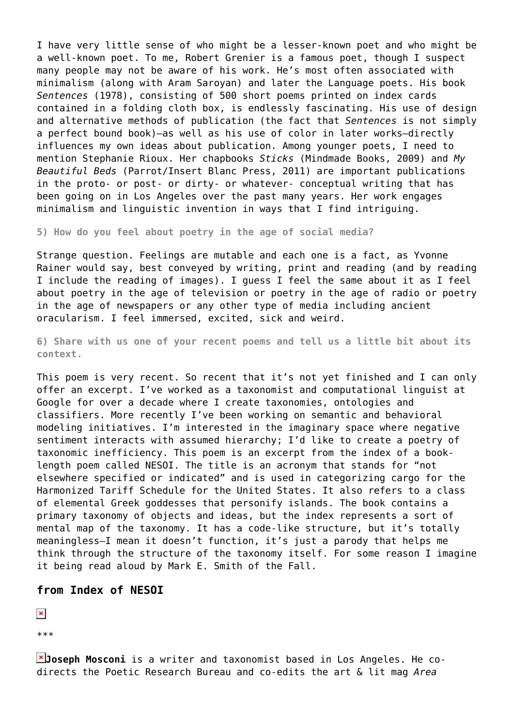I have very little sense of who might be a lesser-known poet and who might be a well-known poet. To me, Robert Grenier is a famous poet, though I suspect many people may not be aware of his work. He's most often associated with minimalism (along with Aram Saroyan) and later the Language poets. His book *Sentences* (1978), consisting of 500 short poems printed on index cards contained in a folding cloth box, is endlessly fascinating. His use of design and alternative methods of publication (the fact that *Sentences* is not simply a perfect bound book)—as well as his use of color in later works—directly influences my own ideas about publication. Among younger poets, I need to mention Stephanie Rioux. Her chapbooks *Sticks* (Mindmade Books, 2009) and *My Beautiful Beds* (Parrot/Insert Blanc Press, 2011) are important publications in the proto- or post- or dirty- or whatever- conceptual writing that has been going on in Los Angeles over the past many years. Her work engages minimalism and linguistic invention in ways that I find intriguing.

**5) How do you feel about poetry in the age of social media?**

Strange question. Feelings are mutable and each one is a fact, as Yvonne Rainer would say, best conveyed by writing, print and reading (and by reading I include the reading of images). I guess I feel the same about it as I feel about poetry in the age of television or poetry in the age of radio or poetry in the age of newspapers or any other type of media including ancient oracularism. I feel immersed, excited, sick and weird.

**6) Share with us one of your recent poems and tell us a little bit about its context.**

This poem is very recent. So recent that it's not yet finished and I can only offer an excerpt. I've worked as a taxonomist and computational linguist at Google for over a decade where I create taxonomies, ontologies and classifiers. More recently I've been working on semantic and behavioral modeling initiatives. I'm interested in the imaginary space where negative sentiment interacts with assumed hierarchy; I'd like to create a poetry of taxonomic inefficiency. This poem is an excerpt from the index of a booklength poem called NESOI. The title is an acronym that stands for "not elsewhere specified or indicated" and is used in categorizing cargo for the Harmonized Tariff Schedule for the United States. It also refers to a class of elemental Greek goddesses that personify islands. The book contains a primary taxonomy of objects and ideas, but the index represents a sort of mental map of the taxonomy. It has a code-like structure, but it's totally meaningless—I mean it doesn't function, it's just a parody that helps me think through the structure of the taxonomy itself. For some reason I imagine it being read aloud by Mark E. Smith of the Fall.

## **from Index of NESOI**

 $\pmb{\times}$ 

\*\*\*

**Joseph Mosconi** is a writer and taxonomist based in Los Angeles. He codirects the Poetic Research Bureau and co-edits the art & lit mag *Area*